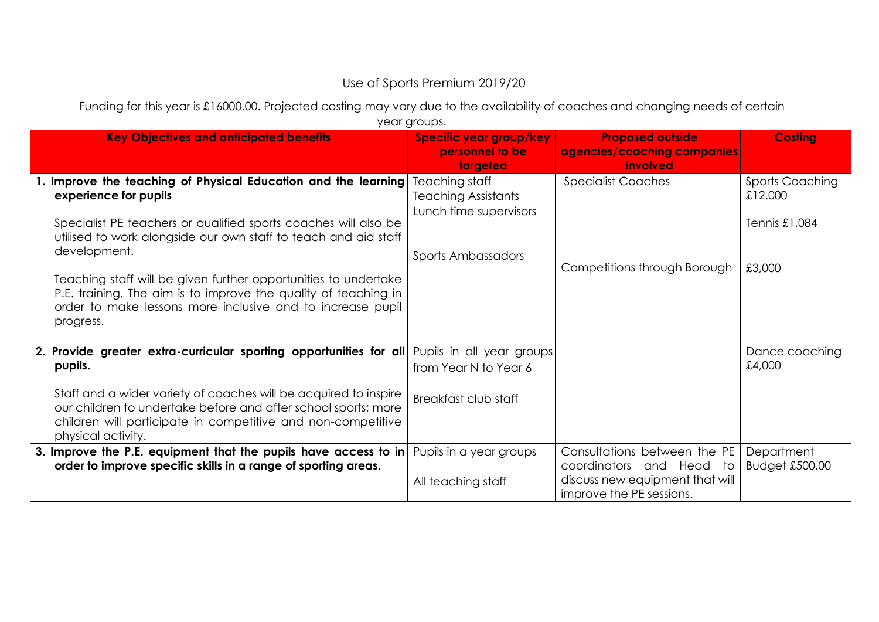## Use of Sports Premium 2019/20

Funding for this year is £16000.00. Projected costing may vary due to the availability of coaches and changing needs of certain

| year groups.                                                                                                                                                                                                                                  |                                                                                              |                                                                                                                               |                                                    |  |  |
|-----------------------------------------------------------------------------------------------------------------------------------------------------------------------------------------------------------------------------------------------|----------------------------------------------------------------------------------------------|-------------------------------------------------------------------------------------------------------------------------------|----------------------------------------------------|--|--|
| <b>Key Objectives and anticipated benefits</b>                                                                                                                                                                                                | Specific year group/key<br>personnel to be<br>targeted                                       | <b>Proposed outside</b><br>agencies/coaching companies<br>involved                                                            | <b>Costing</b>                                     |  |  |
| 1. Improve the teaching of Physical Education and the learning<br>experience for pupils<br>Specialist PE teachers or qualified sports coaches will also be<br>utilised to work alongside our own staff to teach and aid staff<br>development. | Teaching staff<br><b>Teaching Assistants</b><br>Lunch time supervisors<br>Sports Ambassadors | <b>Specialist Coaches</b>                                                                                                     | <b>Sports Coaching</b><br>£12,000<br>Tennis £1,084 |  |  |
| Teaching staff will be given further opportunities to undertake<br>P.E. training. The aim is to improve the quality of teaching in<br>order to make lessons more inclusive and to increase pupil<br>progress.                                 |                                                                                              | Competitions through Borough                                                                                                  | £3,000                                             |  |  |
| 2. Provide greater extra-curricular sporting opportunities for all<br>pupils.<br>Staff and a wider variety of coaches will be acquired to inspire<br>our children to undertake before and after school sports; more                           | Pupils in all year groups<br>from Year N to Year 6<br>Breakfast club staff                   |                                                                                                                               | Dance coaching<br>£4,000                           |  |  |
| children will participate in competitive and non-competitive<br>physical activity.<br>3. Improve the P.E. equipment that the pupils have access to in<br>order to improve specific skills in a range of sporting areas.                       | Pupils in a year groups<br>All teaching staff                                                | Consultations between the PE<br>coordinators<br>and Head<br>to<br>discuss new equipment that will<br>improve the PE sessions. | Department<br>Budget £500.00                       |  |  |

year groups.